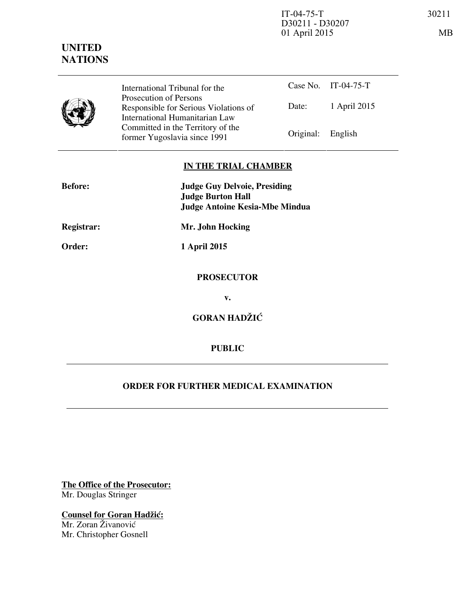IT-04-75-T 30211 D30211 - D30207 01 April 2015 MB

|  | International Tribunal for the                                                                    |                   | Case No. IT-04-75-T |
|--|---------------------------------------------------------------------------------------------------|-------------------|---------------------|
|  | Prosecution of Persons<br>Responsible for Serious Violations of<br>International Humanitarian Law | Date:             | 1 April 2015        |
|  | Committed in the Territory of the<br>former Yugoslavia since 1991                                 | Original: English |                     |

## **IN THE TRIAL CHAMBER**

| <b>Before:</b> | <b>Judge Guy Delvoie, Presiding</b><br><b>Judge Burton Hall</b> |  |
|----------------|-----------------------------------------------------------------|--|
|                | <b>Judge Antoine Kesia-Mbe Mindua</b>                           |  |
| Registrar:     | Mr. John Hocking                                                |  |
| Order:         | 1 April 2015                                                    |  |
|                | <b>PROSECUTOR</b>                                               |  |
|                | v.                                                              |  |
|                | <b>GORAN HADŽIĆ</b>                                             |  |
|                | <b>PUBLIC</b>                                                   |  |

## **ORDER FOR FURTHER MEDICAL EXAMINATION**

**The Office of the Prosecutor:** Mr. Douglas Stringer

**Counsel for Goran Hadžić:** Mr. Zoran Živanović Mr. Christopher Gosnell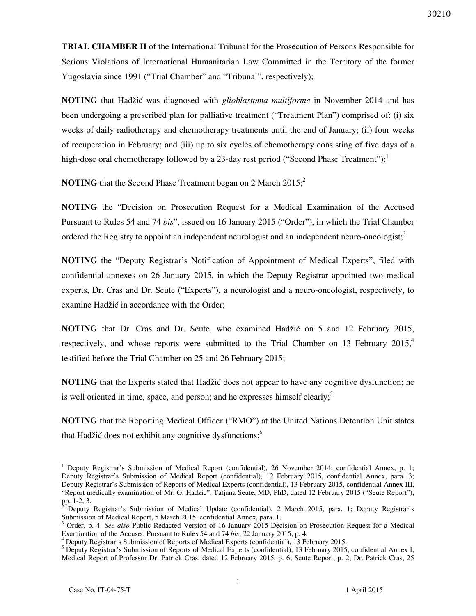**TRIAL CHAMBER II** of the International Tribunal for the Prosecution of Persons Responsible for Serious Violations of International Humanitarian Law Committed in the Territory of the former Yugoslavia since 1991 ("Trial Chamber" and "Tribunal", respectively);

**NOTING** that Hadžić was diagnosed with *glioblastoma multiforme* in November 2014 and has been undergoing a prescribed plan for palliative treatment ("Treatment Plan") comprised of: (i) six weeks of daily radiotherapy and chemotherapy treatments until the end of January; (ii) four weeks of recuperation in February; and (iii) up to six cycles of chemotherapy consisting of five days of a high-dose oral chemotherapy followed by a 23-day rest period ("Second Phase Treatment");

**NOTING** that the Second Phase Treatment began on 2 March 2015;<sup>2</sup>

**NOTING** the "Decision on Prosecution Request for a Medical Examination of the Accused Pursuant to Rules 54 and 74 *bis*", issued on 16 January 2015 ("Order"), in which the Trial Chamber ordered the Registry to appoint an independent neurologist and an independent neuro-oncologist;<sup>3</sup>

**NOTING** the "Deputy Registrar's Notification of Appointment of Medical Experts", filed with confidential annexes on 26 January 2015, in which the Deputy Registrar appointed two medical experts, Dr. Cras and Dr. Seute ("Experts"), a neurologist and a neuro-oncologist, respectively, to examine Hadžić in accordance with the Order;

**NOTING** that Dr. Cras and Dr. Seute, who examined Hadžić on 5 and 12 February 2015, respectively, and whose reports were submitted to the Trial Chamber on 13 February  $2015<sup>4</sup>$ testified before the Trial Chamber on 25 and 26 February 2015;

**NOTING** that the Experts stated that Hadžić does not appear to have any cognitive dysfunction; he is well oriented in time, space, and person; and he expresses himself clearly;<sup>5</sup>

**NOTING** that the Reporting Medical Officer ("RMO") at the United Nations Detention Unit states that Hadžić does not exhibit any cognitive dysfunctions;<sup>6</sup>

 $\overline{a}$ 

<sup>&</sup>lt;sup>1</sup> Deputy Registrar's Submission of Medical Report (confidential), 26 November 2014, confidential Annex, p. 1; Deputy Registrar's Submission of Medical Report (confidential), 12 February 2015, confidential Annex, para. 3; Deputy Registrar's Submission of Reports of Medical Experts (confidential), 13 February 2015, confidential Annex III, "Report medically examination of Mr. G. Hadzic", Tatjana Seute, MD, PhD, dated 12 February 2015 ("Seute Report"), pp. 1-2, 3.<br><sup>2</sup> Deputy

Deputy Registrar's Submission of Medical Update (confidential), 2 March 2015, para. 1; Deputy Registrar's Submission of Medical Report, 5 March 2015, confidential Annex, para. 1.

<sup>3</sup> Order, p. 4. *See also* Public Redacted Version of 16 January 2015 Decision on Prosecution Request for a Medical Examination of the Accused Pursuant to Rules 54 and 74 *bis*, 22 January 2015, p. 4.

<sup>4</sup> Deputy Registrar's Submission of Reports of Medical Experts (confidential), 13 February 2015.

<sup>&</sup>lt;sup>5</sup> Deputy Registrar's Submission of Reports of Medical Experts (confidential), 13 February 2015, confidential Annex I, Medical Report of Professor Dr. Patrick Cras, dated 12 February 2015, p. 6; Seute Report, p. 2; Dr. Patrick Cras, 25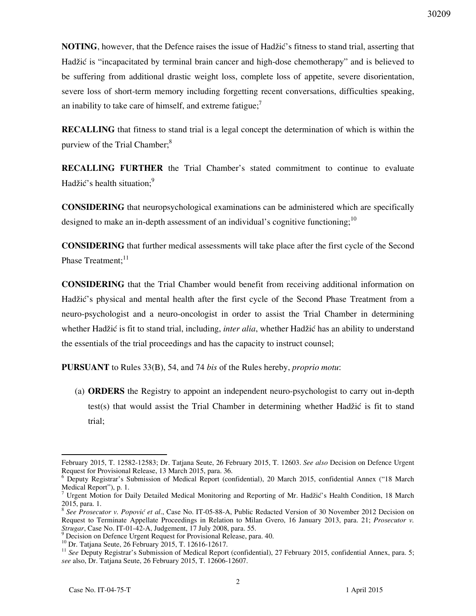**NOTING**, however, that the Defence raises the issue of Hadžić's fitness to stand trial, asserting that Hadžić is "incapacitated by terminal brain cancer and high-dose chemotherapy" and is believed to be suffering from additional drastic weight loss, complete loss of appetite, severe disorientation, severe loss of short-term memory including forgetting recent conversations, difficulties speaking, an inability to take care of himself, and extreme fatigue; $\frac{7}{1}$ 

**RECALLING** that fitness to stand trial is a legal concept the determination of which is within the purview of the Trial Chamber;<sup>8</sup>

**RECALLING FURTHER** the Trial Chamber's stated commitment to continue to evaluate Hadžić's health situation;<sup>9</sup>

**CONSIDERING** that neuropsychological examinations can be administered which are specifically designed to make an in-depth assessment of an individual's cognitive functioning;<sup>10</sup>

**CONSIDERING** that further medical assessments will take place after the first cycle of the Second Phase Treatment:<sup>11</sup>

**CONSIDERING** that the Trial Chamber would benefit from receiving additional information on Hadžić's physical and mental health after the first cycle of the Second Phase Treatment from a neuro-psychologist and a neuro-oncologist in order to assist the Trial Chamber in determining whether Hadžić is fit to stand trial, including, *inter alia*, whether Hadžić has an ability to understand the essentials of the trial proceedings and has the capacity to instruct counsel;

**PURSUANT** to Rules 33(B), 54, and 74 *bis* of the Rules hereby, *proprio motu*:

(a) **ORDERS** the Registry to appoint an independent neuro-psychologist to carry out in-depth test(s) that would assist the Trial Chamber in determining whether Hadžić is fit to stand trial;

 $\overline{a}$ February 2015, T. 12582-12583; Dr. Tatjana Seute, 26 February 2015, T. 12603. *See also* Decision on Defence Urgent Request for Provisional Release, 13 March 2015, para. 36.

<sup>&</sup>lt;sup>6</sup> Deputy Registrar's Submission of Medical Report (confidential), 20 March 2015, confidential Annex ("18 March Medical Report"), p. 1.

<sup>7</sup> Urgent Motion for Daily Detailed Medical Monitoring and Reporting of Mr. Hadžić's Health Condition, 18 March 2015, para. 1.

<sup>&</sup>lt;sup>8</sup> See Prosecutor v. Popović et al., Case No. IT-05-88-A, Public Redacted Version of 30 November 2012 Decision on Request to Terminate Appellate Proceedings in Relation to Milan Gvero, 16 January 2013, para. 21; *Prosecutor v. Strugar*, Case No. IT-01-42-A, Judgement, 17 July 2008, para. 55.

<sup>&</sup>lt;sup>9</sup> Decision on Defence Urgent Request for Provisional Release, para. 40.

<sup>&</sup>lt;sup>10</sup> Dr. Tatjana Seute, 26 February 2015, T. 12616-12617.

<sup>&</sup>lt;sup>11</sup> See Deputy Registrar's Submission of Medical Report (confidential), 27 February 2015, confidential Annex, para. 5; *see* also, Dr. Tatjana Seute, 26 February 2015, T. 12606-12607.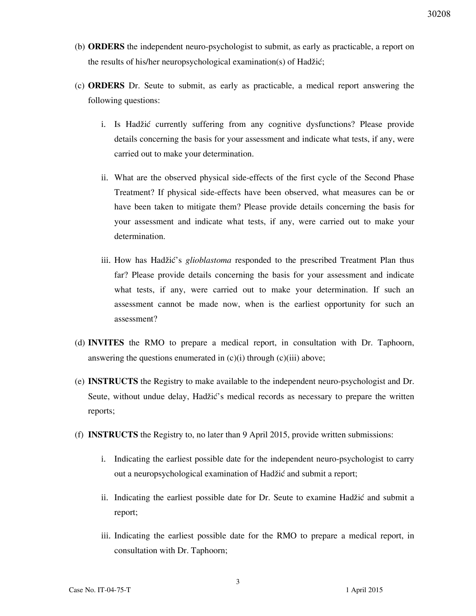- (b) **ORDERS** the independent neuro-psychologist to submit, as early as practicable, a report on the results of his/her neuropsychological examination(s) of Hadžić;
- (c) **ORDERS** Dr. Seute to submit, as early as practicable, a medical report answering the following questions:
	- i. Is Hadžić currently suffering from any cognitive dysfunctions? Please provide details concerning the basis for your assessment and indicate what tests, if any, were carried out to make your determination.
	- ii. What are the observed physical side-effects of the first cycle of the Second Phase Treatment? If physical side-effects have been observed, what measures can be or have been taken to mitigate them? Please provide details concerning the basis for your assessment and indicate what tests, if any, were carried out to make your determination.
	- iii. How has Hadžić's *glioblastoma* responded to the prescribed Treatment Plan thus far? Please provide details concerning the basis for your assessment and indicate what tests, if any, were carried out to make your determination. If such an assessment cannot be made now, when is the earliest opportunity for such an assessment?
- (d) **INVITES** the RMO to prepare a medical report, in consultation with Dr. Taphoorn, answering the questions enumerated in  $(c)(i)$  through  $(c)(iii)$  above;
- (e) **INSTRUCTS** the Registry to make available to the independent neuro-psychologist and Dr. Seute, without undue delay, Hadžić's medical records as necessary to prepare the written reports;
- (f) **INSTRUCTS** the Registry to, no later than 9 April 2015, provide written submissions:
	- i. Indicating the earliest possible date for the independent neuro-psychologist to carry out a neuropsychological examination of Hadžić and submit a report;
	- ii. Indicating the earliest possible date for Dr. Seute to examine Hadžić and submit a report;
	- iii. Indicating the earliest possible date for the RMO to prepare a medical report, in consultation with Dr. Taphoorn;